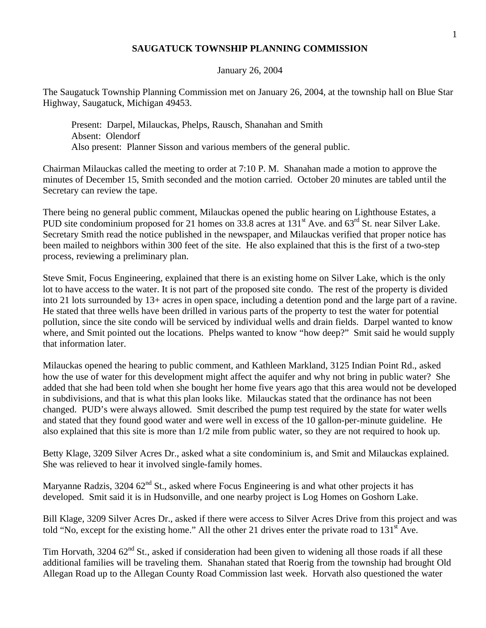## **SAUGATUCK TOWNSHIP PLANNING COMMISSION**

## January 26, 2004

The Saugatuck Township Planning Commission met on January 26, 2004, at the township hall on Blue Star Highway, Saugatuck, Michigan 49453.

Present: Darpel, Milauckas, Phelps, Rausch, Shanahan and Smith Absent: Olendorf Also present: Planner Sisson and various members of the general public.

Chairman Milauckas called the meeting to order at 7:10 P. M. Shanahan made a motion to approve the minutes of December 15, Smith seconded and the motion carried. October 20 minutes are tabled until the Secretary can review the tape.

There being no general public comment, Milauckas opened the public hearing on Lighthouse Estates, a PUD site condominium proposed for 21 homes on 33.8 acres at 131<sup>st</sup> Ave. and 63<sup>rd</sup> St. near Silver Lake. Secretary Smith read the notice published in the newspaper, and Milauckas verified that proper notice has been mailed to neighbors within 300 feet of the site. He also explained that this is the first of a two-step process, reviewing a preliminary plan.

Steve Smit, Focus Engineering, explained that there is an existing home on Silver Lake, which is the only lot to have access to the water. It is not part of the proposed site condo. The rest of the property is divided into 21 lots surrounded by 13+ acres in open space, including a detention pond and the large part of a ravine. He stated that three wells have been drilled in various parts of the property to test the water for potential pollution, since the site condo will be serviced by individual wells and drain fields. Darpel wanted to know where, and Smit pointed out the locations. Phelps wanted to know "how deep?" Smit said he would supply that information later.

Milauckas opened the hearing to public comment, and Kathleen Markland, 3125 Indian Point Rd., asked how the use of water for this development might affect the aquifer and why not bring in public water? She added that she had been told when she bought her home five years ago that this area would not be developed in subdivisions, and that is what this plan looks like. Milauckas stated that the ordinance has not been changed. PUD's were always allowed. Smit described the pump test required by the state for water wells and stated that they found good water and were well in excess of the 10 gallon-per-minute guideline. He also explained that this site is more than 1/2 mile from public water, so they are not required to hook up.

Betty Klage, 3209 Silver Acres Dr., asked what a site condominium is, and Smit and Milauckas explained. She was relieved to hear it involved single-family homes.

Maryanne Radzis, 3204  $62<sup>nd</sup>$  St., asked where Focus Engineering is and what other projects it has developed. Smit said it is in Hudsonville, and one nearby project is Log Homes on Goshorn Lake.

Bill Klage, 3209 Silver Acres Dr., asked if there were access to Silver Acres Drive from this project and was told "No, except for the existing home." All the other 21 drives enter the private road to  $131<sup>st</sup>$  Ave.

Tim Horvath,  $3204.62<sup>nd</sup>$  St., asked if consideration had been given to widening all those roads if all these additional families will be traveling them. Shanahan stated that Roerig from the township had brought Old Allegan Road up to the Allegan County Road Commission last week. Horvath also questioned the water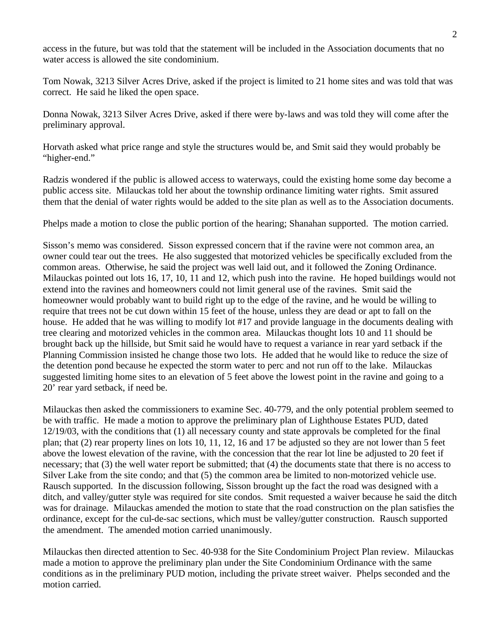access in the future, but was told that the statement will be included in the Association documents that no water access is allowed the site condominium.

Tom Nowak, 3213 Silver Acres Drive, asked if the project is limited to 21 home sites and was told that was correct. He said he liked the open space.

Donna Nowak, 3213 Silver Acres Drive, asked if there were by-laws and was told they will come after the preliminary approval.

Horvath asked what price range and style the structures would be, and Smit said they would probably be "higher-end."

Radzis wondered if the public is allowed access to waterways, could the existing home some day become a public access site. Milauckas told her about the township ordinance limiting water rights. Smit assured them that the denial of water rights would be added to the site plan as well as to the Association documents.

Phelps made a motion to close the public portion of the hearing; Shanahan supported. The motion carried.

Sisson's memo was considered. Sisson expressed concern that if the ravine were not common area, an owner could tear out the trees. He also suggested that motorized vehicles be specifically excluded from the common areas. Otherwise, he said the project was well laid out, and it followed the Zoning Ordinance. Milauckas pointed out lots 16, 17, 10, 11 and 12, which push into the ravine. He hoped buildings would not extend into the ravines and homeowners could not limit general use of the ravines. Smit said the homeowner would probably want to build right up to the edge of the ravine, and he would be willing to require that trees not be cut down within 15 feet of the house, unless they are dead or apt to fall on the house. He added that he was willing to modify lot #17 and provide language in the documents dealing with tree clearing and motorized vehicles in the common area. Milauckas thought lots 10 and 11 should be brought back up the hillside, but Smit said he would have to request a variance in rear yard setback if the Planning Commission insisted he change those two lots. He added that he would like to reduce the size of the detention pond because he expected the storm water to perc and not run off to the lake. Milauckas suggested limiting home sites to an elevation of 5 feet above the lowest point in the ravine and going to a 20' rear yard setback, if need be.

Milauckas then asked the commissioners to examine Sec. 40-779, and the only potential problem seemed to be with traffic. He made a motion to approve the preliminary plan of Lighthouse Estates PUD, dated 12/19/03, with the conditions that (1) all necessary county and state approvals be completed for the final plan; that (2) rear property lines on lots 10, 11, 12, 16 and 17 be adjusted so they are not lower than 5 feet above the lowest elevation of the ravine, with the concession that the rear lot line be adjusted to 20 feet if necessary; that (3) the well water report be submitted; that (4) the documents state that there is no access to Silver Lake from the site condo; and that (5) the common area be limited to non-motorized vehicle use. Rausch supported. In the discussion following, Sisson brought up the fact the road was designed with a ditch, and valley/gutter style was required for site condos. Smit requested a waiver because he said the ditch was for drainage. Milauckas amended the motion to state that the road construction on the plan satisfies the ordinance, except for the cul-de-sac sections, which must be valley/gutter construction. Rausch supported the amendment. The amended motion carried unanimously.

Milauckas then directed attention to Sec. 40-938 for the Site Condominium Project Plan review. Milauckas made a motion to approve the preliminary plan under the Site Condominium Ordinance with the same conditions as in the preliminary PUD motion, including the private street waiver. Phelps seconded and the motion carried.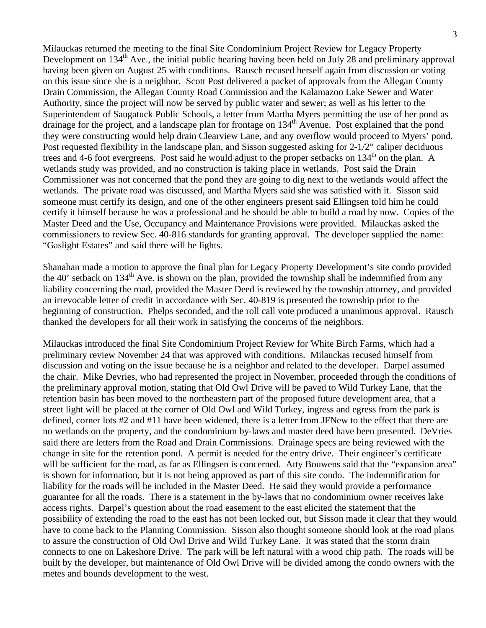Milauckas returned the meeting to the final Site Condominium Project Review for Legacy Property Development on 134<sup>th</sup> Ave., the initial public hearing having been held on July 28 and preliminary approval having been given on August 25 with conditions. Rausch recused herself again from discussion or voting on this issue since she is a neighbor. Scott Post delivered a packet of approvals from the Allegan County Drain Commission, the Allegan County Road Commission and the Kalamazoo Lake Sewer and Water Authority, since the project will now be served by public water and sewer; as well as his letter to the Superintendent of Saugatuck Public Schools, a letter from Martha Myers permitting the use of her pond as drainage for the project, and a landscape plan for frontage on  $134<sup>th</sup>$  Avenue. Post explained that the pond they were constructing would help drain Clearview Lane, and any overflow would proceed to Myers' pond. Post requested flexibility in the landscape plan, and Sisson suggested asking for 2-1/2" caliper deciduous trees and 4-6 foot evergreens. Post said he would adjust to the proper setbacks on 134<sup>th</sup> on the plan. A wetlands study was provided, and no construction is taking place in wetlands. Post said the Drain Commissioner was not concerned that the pond they are going to dig next to the wetlands would affect the wetlands. The private road was discussed, and Martha Myers said she was satisfied with it. Sisson said someone must certify its design, and one of the other engineers present said Ellingsen told him he could certify it himself because he was a professional and he should be able to build a road by now. Copies of the Master Deed and the Use, Occupancy and Maintenance Provisions were provided. Milauckas asked the commissioners to review Sec. 40-816 standards for granting approval. The developer supplied the name: "Gaslight Estates" and said there will be lights.

Shanahan made a motion to approve the final plan for Legacy Property Development's site condo provided the 40' setback on  $134<sup>th</sup>$  Ave. is shown on the plan, provided the township shall be indemnified from any liability concerning the road, provided the Master Deed is reviewed by the township attorney, and provided an irrevocable letter of credit in accordance with Sec. 40-819 is presented the township prior to the beginning of construction. Phelps seconded, and the roll call vote produced a unanimous approval. Rausch thanked the developers for all their work in satisfying the concerns of the neighbors.

Milauckas introduced the final Site Condominium Project Review for White Birch Farms, which had a preliminary review November 24 that was approved with conditions. Milauckas recused himself from discussion and voting on the issue because he is a neighbor and related to the developer. Darpel assumed the chair. Mike Devries, who had represented the project in November, proceeded through the conditions of the preliminary approval motion, stating that Old Owl Drive will be paved to Wild Turkey Lane, that the retention basin has been moved to the northeastern part of the proposed future development area, that a street light will be placed at the corner of Old Owl and Wild Turkey, ingress and egress from the park is defined, corner lots #2 and #11 have been widened, there is a letter from JFNew to the effect that there are no wetlands on the property, and the condominium by-laws and master deed have been presented. DeVries said there are letters from the Road and Drain Commissions. Drainage specs are being reviewed with the change in site for the retention pond. A permit is needed for the entry drive. Their engineer's certificate will be sufficient for the road, as far as Ellingsen is concerned. Atty Bouwens said that the "expansion area" is shown for information, but it is not being approved as part of this site condo. The indemnification for liability for the roads will be included in the Master Deed. He said they would provide a performance guarantee for all the roads. There is a statement in the by-laws that no condominium owner receives lake access rights. Darpel's question about the road easement to the east elicited the statement that the possibility of extending the road to the east has not been locked out, but Sisson made it clear that they would have to come back to the Planning Commission. Sisson also thought someone should look at the road plans to assure the construction of Old Owl Drive and Wild Turkey Lane. It was stated that the storm drain connects to one on Lakeshore Drive. The park will be left natural with a wood chip path. The roads will be built by the developer, but maintenance of Old Owl Drive will be divided among the condo owners with the metes and bounds development to the west.